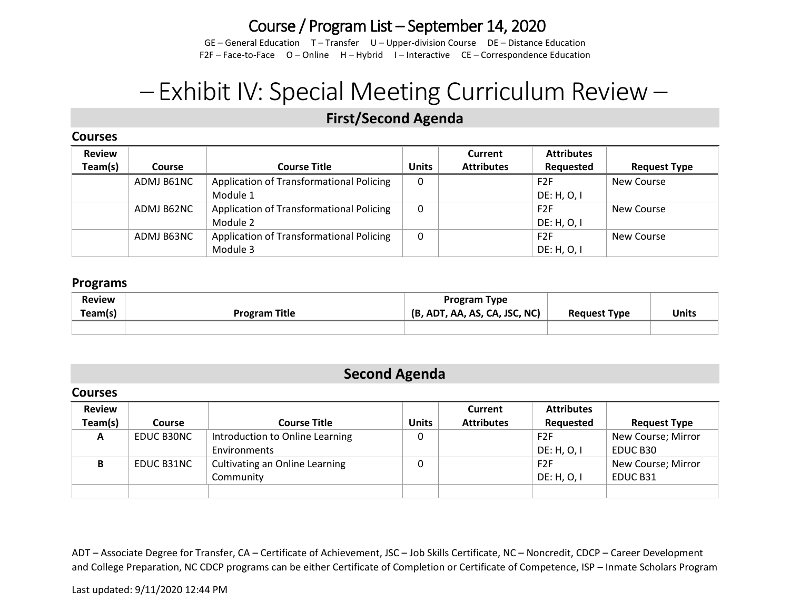# Course / Program List – September 14, 2020

GE – General Education T – Transfer U – Upper-division Course DE – Distance Education F2F – Face-to-Face O – Online H – Hybrid I – Interactive CE – Correspondence Education

# – Exhibit IV: Special Meeting Curriculum Review –

## *1B***First/Second Agenda**

## **Courses**

| <b>Review</b> |               |                                          |              | Current           | <b>Attributes</b> |                     |
|---------------|---------------|------------------------------------------|--------------|-------------------|-------------------|---------------------|
| Team(s)       | <b>Course</b> | <b>Course Title</b>                      | <b>Units</b> | <b>Attributes</b> | Requested         | <b>Request Type</b> |
|               | ADMJ B61NC    | Application of Transformational Policing | $\mathbf{0}$ |                   | F <sub>2F</sub>   | New Course          |
|               |               | Module 1                                 |              |                   | DE: H, O, I       |                     |
|               | ADMJ B62NC    | Application of Transformational Policing | 0            |                   | F <sub>2</sub> F  | New Course          |
|               |               | Module 2                                 |              |                   | DE: H, O, I       |                     |
|               | ADMJ B63NC    | Application of Transformational Policing | 0            |                   | F <sub>2</sub> F  | New Course          |
|               |               | Module 3                                 |              |                   | DE: H, O, I       |                     |

## **Programs**

| <b>Review</b><br>Team(s) | <b>Program Title</b> | Program Type<br>(B, ADT, AA, AS, CA, JSC, NC) | <b>Request Type</b> | <b>Units</b> |
|--------------------------|----------------------|-----------------------------------------------|---------------------|--------------|
|                          |                      |                                               |                     |              |

## **Second Agenda**

## **Courses**

| <b>Review</b> |                   |                                 |              | Current           | <b>Attributes</b> |                     |
|---------------|-------------------|---------------------------------|--------------|-------------------|-------------------|---------------------|
| Team(s)       | <b>Course</b>     | <b>Course Title</b>             | <b>Units</b> | <b>Attributes</b> | Requested         | <b>Request Type</b> |
| A             | <b>EDUC B30NC</b> | Introduction to Online Learning | 0            |                   | F <sub>2F</sub>   | New Course; Mirror  |
|               |                   | Environments                    |              |                   | DE: H, O, I       | EDUC B30            |
| В             | EDUC B31NC        | Cultivating an Online Learning  | 0            |                   | F2F               | New Course; Mirror  |
|               |                   | Community                       |              |                   | DE: H, O, I       | EDUC B31            |
|               |                   |                                 |              |                   |                   |                     |

ADT – Associate Degree for Transfer, CA – Certificate of Achievement, JSC – Job Skills Certificate, NC – Noncredit, CDCP – Career Development and College Preparation, NC CDCP programs can be either Certificate of Completion or Certificate of Competence, ISP – Inmate Scholars Program

#### Last updated: 9/11/2020 12:44 PM